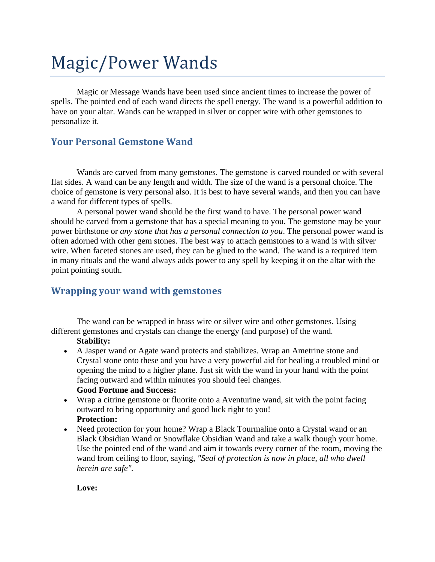# Magic/Power Wands

Magic or Message Wands have been used since ancient times to increase the power of spells. The pointed end of each wand directs the spell energy. The wand is a powerful addition to have on your altar. Wands can be wrapped in silver or copper wire with other gemstones to personalize it.

## **Your Personal Gemstone Wand**

Wands are carved from many gemstones. The gemstone is carved rounded or with several flat sides. A wand can be any length and width. The size of the wand is a personal choice. The choice of gemstone is very personal also. It is best to have several wands, and then you can have a wand for different types of spells.

A personal power wand should be the first wand to have. The personal power wand should be carved from a gemstone that has a special meaning to you. The gemstone may be your power [birthstone](http://crystal-cure.com/birthstones.html) or *any stone that has a personal connection to you*. The personal power wand is often adorned with other gem stones. The best way to attach gemstones to a wand is with silver wire. When faceted stones are used, they can be glued to the wand. The wand is a required item in many rituals and the wand always adds power to any spell by keeping it on the altar with the point pointing south.

## **Wrapping your wand with gemstones**

The wand can be wrapped in brass wire or silver wire and other gemstones. Using different gemstones and crystals can change the energy (and purpose) of the wand.

#### **Stability:**

- A [Jasper wand](http://crystal-cure.com/symbol-jasper-wand.html) or [Agate wand](http://crystal-cure.com/agate-wand.html) protects and stabilizes. Wrap an [Ametrine](http://crystal-cure.com/ametrine.html) stone and [Crystal](http://crystal-cure.com/crystalgem.html) stone onto these and you have a very powerful aid for healing a troubled mind or opening the mind to a higher plane. Just sit with the wand in your hand with the point facing outward and within minutes you should feel changes. **Good Fortune and Success:**
- Wrap a [citrine gemstone](http://crystal-cure.com/citrine.html) or [fluorite](http://crystal-cure.com/flourite.html) onto a [Aventurine wand,](http://crystal-cure.com/aventurine-wand.html) sit with the point facing outward to bring opportunity and good luck right to you! **Protection:**
- Need protection for your home? Wrap a [Black Tourmaline](http://crystal-cure.com/tourmaline.html) onto a [Crystal wand](http://crystal-cure.com/symbol-crystal-wand.html) or an [Black Obsidian Wand](http://crystal-cure.com/symbol-obsidian-wand.html) or [Snowflake Obsidian Wand](http://crystal-cure.com/symbol-obsidian-snow-wand.html) and take a walk though your home. Use the pointed end of the wand and aim it towards every corner of the room, moving the wand from ceiling to floor, saying, *"Seal of protection is now in place, all who dwell herein are safe".*

#### **Love:**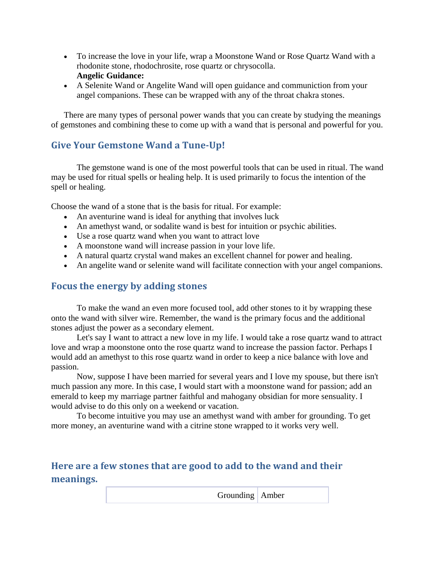- To increase the love in your life, wrap a [Moonstone Wand](http://crystal-cure.com/symbol-wand-moonstone.html) or [Rose Quartz Wand](http://crystal-cure.com/symbol-rosequartz-wand.html) with a [rhodonite](http://crystal-cure.com/rhodonite.html) stone, [rhodochrosite,](http://crystal-cure.com/rhodochrosite.html) [rose quartz](http://crystal-cure.com/rosequartz.html) or [chrysocolla.](http://crystal-cure.com/chrysocolla.html) **Angelic Guidance:**
- A [Selenite Wand](http://crystal-cure.com/symbol-selenite-wand.html) or [Angelite Wand](http://crystal-cure.com/wand-angelite.html) will open guidance and communiction from your angel companions. These can be wrapped with any of the [throat chakra stones.](http://crystal-cure.com/chakra-throat.html)

There are many types of personal power wands that you can create by studying the [meanings](http://crystal-cure.com/gemstone-meanings.html)  [of gemstones](http://crystal-cure.com/gemstone-meanings.html) and combining these to come up with a wand that is personal and powerful for you.

# **Give Your Gemstone Wand a Tune-Up!**

The [gemstone wand](http://crystal-cure.com/crystal-wand.html) is one of the most powerful tools that can be used in ritual. The wand may be used for ritual spells or healing help. It is used primarily to focus the intention of the spell or healing.

Choose the wand of a stone that is the basis for ritual. For example:

- An [aventurine wand](http://crystal-cure.com/aventurine-wand.html) is ideal for anything that involves luck
- An [amethyst wand,](http://crystal-cure.com/symbol-wand-amethystblk.html) or [sodalite wand](http://crystal-cure.com/symbol-sodalite-wand.html) is best for intuition or psychic abilities.
- Use a [rose quartz wand](http://crystal-cure.com/symbol-rosequartz-wand.html) when you want to attract love
- A [moonstone wand](http://crystal-cure.com/symbol-wand-moonstone.html) will increase passion in your love life.
- A natural [quartz crystal wand](http://crystal-cure.com/symbol-crystal-wand.html) makes an excellent channel for power and healing.
- An [angelite wand](http://crystal-cure.com/wand-angelite.html) or [selenite wand](http://crystal-cure.com/symbol-selenite-wand.html) will facilitate connection with your angel companions.

## **Focus the energy by adding stones**

To make the wand an even more focused tool, add other stones to it by wrapping these onto the wand with silver wire. Remember, the wand is the primary focus and the additional stones adjust the power as a secondary element.

Let's say I want to attract a new love in my life. I would take a rose quartz wand to attract love and wrap a moonstone onto the rose quartz wand to increase the passion factor. Perhaps I would add an amethyst to this rose quartz wand in order to keep a nice balance with love and passion.

Now, suppose I have been married for several years and I love my spouse, but there isn't much passion any more. In this case, I would start with a moonstone wand for passion; add an emerald to keep my marriage partner faithful and mahogany obsidian for more sensuality. I would advise to do this only on a weekend or vacation.

To become intuitive you may use an amethyst wand with amber for grounding. To get more money, an aventurine wand with a citrine stone wrapped to it works very well.

# **Here are a few stones that are good to add to the wand and their meanings.**

| Grounding Amber |  |
|-----------------|--|
|-----------------|--|